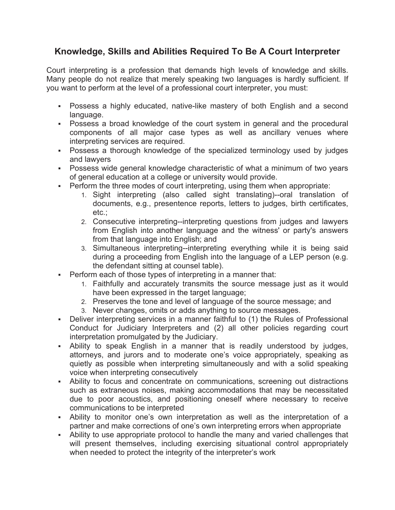## **Knowledge, Skills and Abilities Required To Be A Court Interpreter**

Court interpreting is a profession that demands high levels of knowledge and skills. Many people do not realize that merely speaking two languages is hardly sufficient. If you want to perform at the level of a professional court interpreter, you must:

- § Possess a highly educated, native-like mastery of both English and a second language.
- § Possess a broad knowledge of the court system in general and the procedural components of all major case types as well as ancillary venues where interpreting services are required.
- Possess a thorough knowledge of the specialized terminology used by judges and lawyers
- § Possess wide general knowledge characteristic of what a minimum of two years of general education at a college or university would provide.
- Perform the three modes of court interpreting, using them when appropriate:
	- 1. Sight interpreting (also called sight translating)--oral translation of documents, e.g., presentence reports, letters to judges, birth certificates, etc.;
	- 2. Consecutive interpreting--interpreting questions from judges and lawyers from English into another language and the witness' or party's answers from that language into English; and
	- 3. Simultaneous interpreting--interpreting everything while it is being said during a proceeding from English into the language of a LEP person (e.g. the defendant sitting at counsel table).
- Perform each of those types of interpreting in a manner that:
	- 1. Faithfully and accurately transmits the source message just as it would have been expressed in the target language;
	- 2. Preserves the tone and level of language of the source message; and
	- 3. Never changes, omits or adds anything to source messages.
- Deliver interpreting services in a manner faithful to (1) the Rules of Professional Conduct for Judiciary Interpreters and (2) all other policies regarding court interpretation promulgated by the Judiciary.
- § Ability to speak English in a manner that is readily understood by judges, attorneys, and jurors and to moderate one's voice appropriately, speaking as quietly as possible when interpreting simultaneously and with a solid speaking voice when interpreting consecutively
- Ability to focus and concentrate on communications, screening out distractions such as extraneous noises, making accommodations that may be necessitated due to poor acoustics, and positioning oneself where necessary to receive communications to be interpreted
- § Ability to monitor one's own interpretation as well as the interpretation of a partner and make corrections of one's own interpreting errors when appropriate
- Ability to use appropriate protocol to handle the many and varied challenges that will present themselves, including exercising situational control appropriately when needed to protect the integrity of the interpreter's work